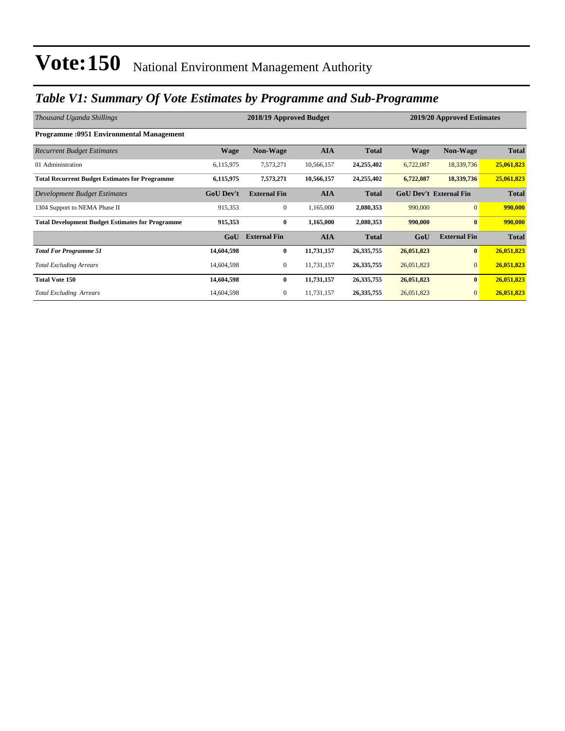### *Table V1: Summary Of Vote Estimates by Programme and Sub-Programme*

| Thousand Uganda Shillings                               |                  | 2018/19 Approved Budget |            |              | 2019/20 Approved Estimates |                               |              |
|---------------------------------------------------------|------------------|-------------------------|------------|--------------|----------------------------|-------------------------------|--------------|
| <b>Programme: 0951 Environmental Management</b>         |                  |                         |            |              |                            |                               |              |
| <b>Recurrent Budget Estimates</b>                       | <b>Wage</b>      | Non-Wage                | <b>AIA</b> | <b>Total</b> | <b>Wage</b>                | Non-Wage                      | <b>Total</b> |
| 01 Administration                                       | 6,115,975        | 7,573,271               | 10,566,157 | 24,255,402   | 6,722,087                  | 18,339,736                    | 25,061,823   |
| <b>Total Recurrent Budget Estimates for Programme</b>   | 6,115,975        | 7,573,271               | 10,566,157 | 24,255,402   | 6,722,087                  | 18,339,736                    | 25,061,823   |
| Development Budget Estimates                            | <b>GoU Dev't</b> | <b>External Fin</b>     | <b>AIA</b> | <b>Total</b> |                            | <b>GoU Dev't External Fin</b> | <b>Total</b> |
| 1304 Support to NEMA Phase II                           | 915,353          | $\overline{0}$          | 1,165,000  | 2,080,353    | 990,000                    | $\overline{0}$                | 990,000      |
| <b>Total Development Budget Estimates for Programme</b> | 915,353          | $\bf{0}$                | 1,165,000  | 2,080,353    | 990,000                    | $\bf{0}$                      | 990,000      |
|                                                         | GoU              | <b>External Fin</b>     | <b>AIA</b> | <b>Total</b> | GoU                        | <b>External Fin</b>           | <b>Total</b> |
| <b>Total For Programme 51</b>                           | 14,604,598       | 0                       | 11,731,157 | 26, 335, 755 | 26,051,823                 | $\bf{0}$                      | 26,051,823   |
| <b>Total Excluding Arrears</b>                          | 14,604,598       | 0                       | 11,731,157 | 26, 335, 755 | 26,051,823                 | $\mathbf{0}$                  | 26,051,823   |
| <b>Total Vote 150</b>                                   | 14,604,598       | $\bf{0}$                | 11,731,157 | 26, 335, 755 | 26,051,823                 | $\bf{0}$                      | 26,051,823   |
| <b>Total Excluding Arrears</b>                          | 14,604,598       | 0                       | 11,731,157 | 26, 335, 755 | 26,051,823                 | $\mathbf{0}$                  | 26,051,823   |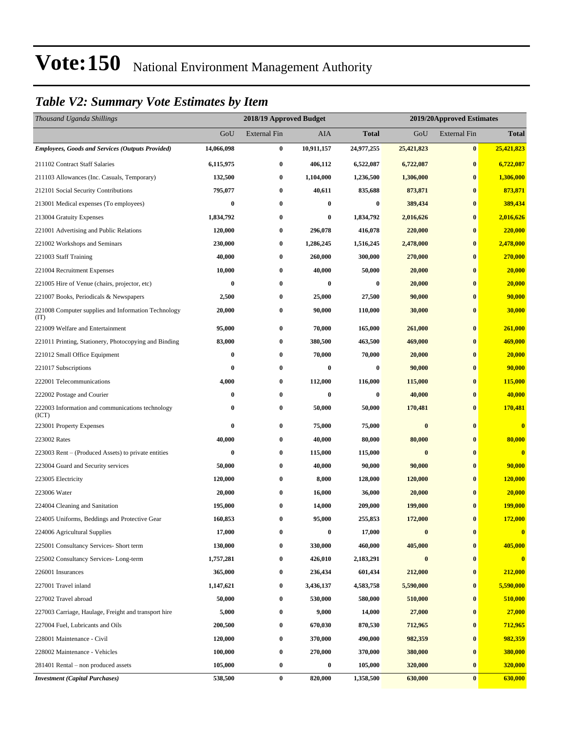### *Table V2: Summary Vote Estimates by Item*

| Thousand Uganda Shillings                                   |            | 2018/19 Approved Budget |            |                  |            | 2019/20Approved Estimates |                         |
|-------------------------------------------------------------|------------|-------------------------|------------|------------------|------------|---------------------------|-------------------------|
|                                                             | GoU        | <b>External Fin</b>     | AIA        | <b>Total</b>     | GoU        | <b>External Fin</b>       | <b>Total</b>            |
| <b>Employees, Goods and Services (Outputs Provided)</b>     | 14,066,098 | $\bf{0}$                | 10,911,157 | 24,977,255       | 25,421,823 | $\bf{0}$                  | 25,421,823              |
| 211102 Contract Staff Salaries                              | 6,115,975  | $\bf{0}$                | 406,112    | 6,522,087        | 6,722,087  | $\bf{0}$                  | 6,722,087               |
| 211103 Allowances (Inc. Casuals, Temporary)                 | 132,500    | $\bf{0}$                | 1,104,000  | 1,236,500        | 1,306,000  | $\bf{0}$                  | 1,306,000               |
| 212101 Social Security Contributions                        | 795,077    | $\bf{0}$                | 40,611     | 835,688          | 873,871    | $\bf{0}$                  | 873,871                 |
| 213001 Medical expenses (To employees)                      | 0          | $\bf{0}$                | 0          | $\boldsymbol{0}$ | 389,434    | $\bf{0}$                  | 389,434                 |
| 213004 Gratuity Expenses                                    | 1,834,792  | $\bf{0}$                | $\bf{0}$   | 1,834,792        | 2,016,626  | $\bf{0}$                  | 2,016,626               |
| 221001 Advertising and Public Relations                     | 120,000    | $\bf{0}$                | 296,078    | 416,078          | 220,000    | $\bf{0}$                  | 220,000                 |
| 221002 Workshops and Seminars                               | 230,000    | $\bf{0}$                | 1,286,245  | 1,516,245        | 2,478,000  | $\bf{0}$                  | 2,478,000               |
| 221003 Staff Training                                       | 40,000     | $\bf{0}$                | 260,000    | 300,000          | 270,000    | $\bf{0}$                  | 270,000                 |
| 221004 Recruitment Expenses                                 | 10,000     | $\bf{0}$                | 40,000     | 50,000           | 20,000     | $\bf{0}$                  | 20,000                  |
| 221005 Hire of Venue (chairs, projector, etc)               | $\bf{0}$   | $\bf{0}$                | $\bf{0}$   | 0                | 20,000     | $\bf{0}$                  | 20,000                  |
| 221007 Books, Periodicals & Newspapers                      | 2,500      | $\bf{0}$                | 25,000     | 27,500           | 90,000     | $\bf{0}$                  | 90,000                  |
| 221008 Computer supplies and Information Technology<br>(TT) | 20,000     | $\bf{0}$                | 90,000     | 110,000          | 30,000     | $\bf{0}$                  | 30,000                  |
| 221009 Welfare and Entertainment                            | 95,000     | $\bf{0}$                | 70,000     | 165,000          | 261,000    | $\bf{0}$                  | 261,000                 |
| 221011 Printing, Stationery, Photocopying and Binding       | 83,000     | $\bf{0}$                | 380,500    | 463,500          | 469,000    | $\bf{0}$                  | 469,000                 |
| 221012 Small Office Equipment                               | 0          | $\bf{0}$                | 70,000     | 70,000           | 20,000     | $\bf{0}$                  | 20,000                  |
| 221017 Subscriptions                                        | 0          | $\bf{0}$                | 0          | $\bf{0}$         | 90,000     | $\bf{0}$                  | 90,000                  |
| 222001 Telecommunications                                   | 4,000      | $\bf{0}$                | 112,000    | 116,000          | 115,000    | $\bf{0}$                  | <b>115,000</b>          |
| 222002 Postage and Courier                                  | $\bf{0}$   | $\bf{0}$                | $\bf{0}$   | 0                | 40,000     | $\bf{0}$                  | 40,000                  |
| 222003 Information and communications technology<br>(ICT)   | 0          | $\bf{0}$                | 50,000     | 50,000           | 170,481    | $\bf{0}$                  | 170,481                 |
| 223001 Property Expenses                                    | 0          | $\bf{0}$                | 75,000     | 75,000           | $\pmb{0}$  | $\bf{0}$                  | $\overline{\mathbf{0}}$ |
| 223002 Rates                                                | 40,000     | $\bf{0}$                | 40,000     | 80,000           | 80,000     | $\bf{0}$                  | 80,000                  |
| 223003 Rent – (Produced Assets) to private entities         | $\bf{0}$   | $\bf{0}$                | 115,000    | 115,000          | $\bf{0}$   | $\bf{0}$                  | $\overline{\mathbf{0}}$ |
| 223004 Guard and Security services                          | 50,000     | $\bf{0}$                | 40,000     | 90,000           | 90,000     | $\bf{0}$                  | 90,000                  |
| 223005 Electricity                                          | 120,000    | $\bf{0}$                | 8,000      | 128,000          | 120,000    | $\bf{0}$                  | 120,000                 |
| 223006 Water                                                | 20,000     | $\bf{0}$                | 16,000     | 36,000           | 20,000     | $\bf{0}$                  | 20,000                  |
| 224004 Cleaning and Sanitation                              | 195,000    | $\bf{0}$                | 14,000     | 209,000          | 199,000    | $\bf{0}$                  | <b>199,000</b>          |
| 224005 Uniforms, Beddings and Protective Gear               | 160,853    | $\bf{0}$                | 95,000     | 255,853          | 172,000    | $\bf{0}$                  | 172,000                 |
| 224006 Agricultural Supplies                                | 17,000     | $\bf{0}$                | $\bf{0}$   | 17,000           | $\bf{0}$   | $\bf{0}$                  | $\bf{0}$                |
| 225001 Consultancy Services- Short term                     | 130,000    | $\bf{0}$                | 330,000    | 460,000          | 405,000    | $\bf{0}$                  | 405,000                 |
| 225002 Consultancy Services-Long-term                       | 1,757,281  | $\bf{0}$                | 426,010    | 2,183,291        | $\bf{0}$   | $\bf{0}$                  | $\overline{\mathbf{0}}$ |
| 226001 Insurances                                           | 365,000    | $\bf{0}$                | 236,434    | 601,434          | 212,000    | $\bf{0}$                  | 212,000                 |
| 227001 Travel inland                                        | 1,147,621  | $\bf{0}$                | 3,436,137  | 4,583,758        | 5,590,000  | $\bf{0}$                  | 5,590,000               |
| 227002 Travel abroad                                        | 50,000     | $\bf{0}$                | 530,000    | 580,000          | 510,000    | $\bf{0}$                  | 510,000                 |
| 227003 Carriage, Haulage, Freight and transport hire        | 5,000      | $\bf{0}$                | 9,000      | 14,000           | 27,000     | $\bf{0}$                  | 27,000                  |
| 227004 Fuel, Lubricants and Oils                            | 200,500    | $\bf{0}$                | 670,030    | 870,530          | 712,965    | $\bf{0}$                  | 712,965                 |
| 228001 Maintenance - Civil                                  | 120,000    | $\bf{0}$                | 370,000    | 490,000          | 982,359    | $\bf{0}$                  | 982,359                 |
| 228002 Maintenance - Vehicles                               | 100,000    | $\bf{0}$                | 270,000    | 370,000          | 380,000    | $\bf{0}$                  | 380,000                 |
| 281401 Rental – non produced assets                         | 105,000    | $\bf{0}$                | $\bf{0}$   | 105,000          | 320,000    | $\bf{0}$                  | 320,000                 |
| <b>Investment</b> (Capital Purchases)                       | 538,500    | $\bf{0}$                | 820,000    | 1,358,500        | 630,000    | $\bf{0}$                  | 630,000                 |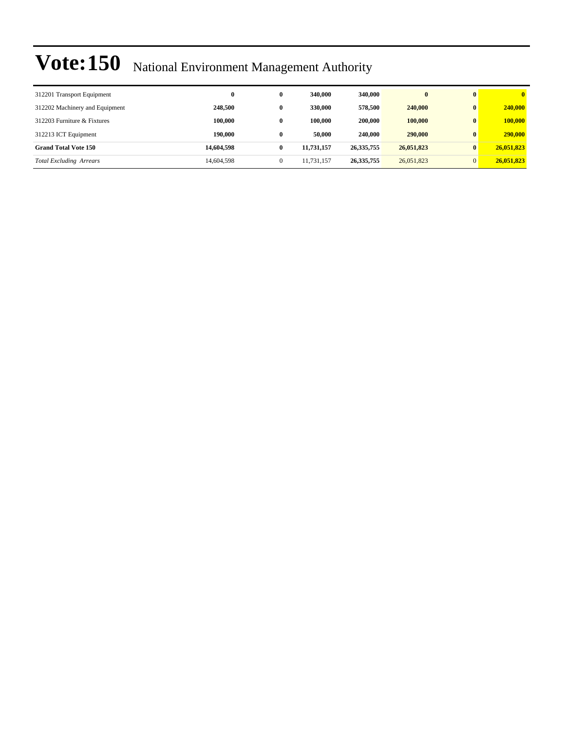| 312201 Transport Equipment     | 0          | $\bf{0}$     | 340,000    | 340,000      |            | $\bf{0}$     | $\mathbf{0}$ |
|--------------------------------|------------|--------------|------------|--------------|------------|--------------|--------------|
| 312202 Machinery and Equipment | 248,500    | $\bf{0}$     | 330,000    | 578,500      | 240,000    | $\bf{0}$     | 240,000      |
| 312203 Furniture & Fixtures    | 100.000    | $\bf{0}$     | 100.000    | 200,000      | 100,000    | $\bf{0}$     | 100,000      |
| 312213 ICT Equipment           | 190.000    | $\bf{0}$     | 50,000     | 240,000      | 290,000    | $\bf{0}$     | 290,000      |
| <b>Grand Total Vote 150</b>    | 14,604,598 | $\bf{0}$     | 11,731,157 | 26, 335, 755 | 26,051,823 | $\bf{0}$     | 26,051,823   |
| <b>Total Excluding Arrears</b> | 14,604,598 | $\mathbf{0}$ | 11,731,157 | 26, 335, 755 | 26,051,823 | $\mathbf{0}$ | 26,051,823   |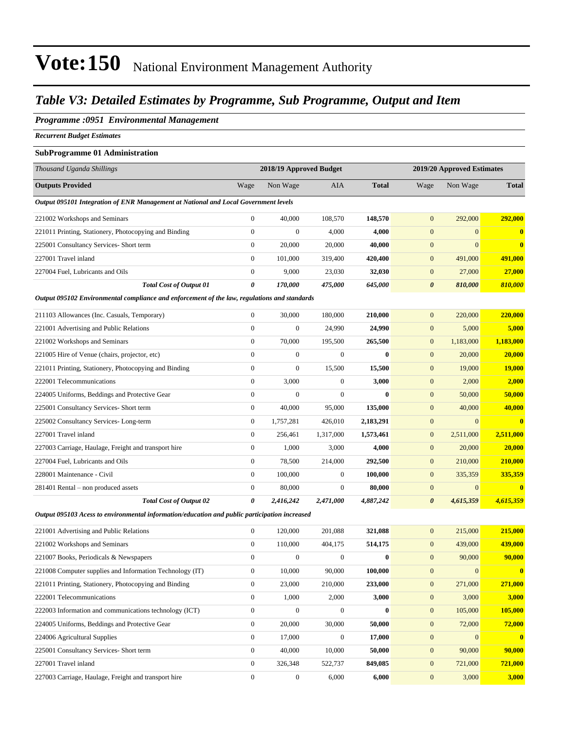### *Table V3: Detailed Estimates by Programme, Sub Programme, Output and Item*

#### *Programme :0951 Environmental Management*

*Recurrent Budget Estimates*

#### **SubProgramme 01 Administration**

| Thousand Uganda Shillings                                                                     |                  | 2018/19 Approved Budget |                  |              | 2019/20 Approved Estimates |                |                  |
|-----------------------------------------------------------------------------------------------|------------------|-------------------------|------------------|--------------|----------------------------|----------------|------------------|
| <b>Outputs Provided</b>                                                                       | Wage             | Non Wage                | AIA              | <b>Total</b> | Wage                       | Non Wage       | <b>Total</b>     |
| Output 095101 Integration of ENR Management at National and Local Government levels           |                  |                         |                  |              |                            |                |                  |
| 221002 Workshops and Seminars                                                                 | $\boldsymbol{0}$ | 40,000                  | 108,570          | 148,570      | $\mathbf{0}$               | 292,000        | 292,000          |
| 221011 Printing, Stationery, Photocopying and Binding                                         | $\mathbf{0}$     | $\mathbf{0}$            | 4,000            | 4,000        | $\mathbf{0}$               | $\overline{0}$ | $\bf{0}$         |
| 225001 Consultancy Services- Short term                                                       | $\boldsymbol{0}$ | 20,000                  | 20,000           | 40,000       | $\boldsymbol{0}$           | $\overline{0}$ | $\bf{0}$         |
| 227001 Travel inland                                                                          | $\boldsymbol{0}$ | 101,000                 | 319,400          | 420,400      | $\mathbf{0}$               | 491,000        | 491,000          |
| 227004 Fuel, Lubricants and Oils                                                              | $\boldsymbol{0}$ | 9,000                   | 23,030           | 32,030       | $\mathbf{0}$               | 27,000         | 27,000           |
| <b>Total Cost of Output 01</b>                                                                | 0                | 170,000                 | 475,000          | 645,000      | $\boldsymbol{\theta}$      | 810,000        | 810,000          |
| Output 095102 Environmental compliance and enforcement of the law, regulations and standards  |                  |                         |                  |              |                            |                |                  |
| 211103 Allowances (Inc. Casuals, Temporary)                                                   | $\boldsymbol{0}$ | 30,000                  | 180,000          | 210,000      | $\mathbf{0}$               | 220,000        | 220,000          |
| 221001 Advertising and Public Relations                                                       | $\boldsymbol{0}$ | $\boldsymbol{0}$        | 24,990           | 24,990       | $\mathbf{0}$               | 5,000          | 5,000            |
| 221002 Workshops and Seminars                                                                 | $\boldsymbol{0}$ | 70,000                  | 195,500          | 265,500      | $\mathbf{0}$               | 1,183,000      | 1,183,000        |
| 221005 Hire of Venue (chairs, projector, etc)                                                 | $\boldsymbol{0}$ | $\boldsymbol{0}$        | $\boldsymbol{0}$ | $\bf{0}$     | $\mathbf{0}$               | 20,000         | 20,000           |
| 221011 Printing, Stationery, Photocopying and Binding                                         | $\boldsymbol{0}$ | $\boldsymbol{0}$        | 15,500           | 15,500       | $\boldsymbol{0}$           | 19,000         | <b>19,000</b>    |
| 222001 Telecommunications                                                                     | $\boldsymbol{0}$ | 3,000                   | $\boldsymbol{0}$ | 3,000        | $\mathbf{0}$               | 2,000          | 2,000            |
| 224005 Uniforms, Beddings and Protective Gear                                                 | $\boldsymbol{0}$ | $\boldsymbol{0}$        | $\boldsymbol{0}$ | $\bf{0}$     | $\mathbf{0}$               | 50,000         | 50,000           |
| 225001 Consultancy Services- Short term                                                       | $\boldsymbol{0}$ | 40,000                  | 95,000           | 135,000      | $\boldsymbol{0}$           | 40,000         | 40,000           |
| 225002 Consultancy Services-Long-term                                                         | $\boldsymbol{0}$ | 1,757,281               | 426,010          | 2,183,291    | $\mathbf{0}$               | $\overline{0}$ | $\bf{0}$         |
| 227001 Travel inland                                                                          | $\boldsymbol{0}$ | 256,461                 | 1,317,000        | 1,573,461    | $\boldsymbol{0}$           | 2,511,000      | 2,511,000        |
| 227003 Carriage, Haulage, Freight and transport hire                                          | $\boldsymbol{0}$ | 1,000                   | 3,000            | 4,000        | $\mathbf{0}$               | 20,000         | 20,000           |
| 227004 Fuel, Lubricants and Oils                                                              | $\boldsymbol{0}$ | 78,500                  | 214,000          | 292,500      | $\mathbf{0}$               | 210,000        | 210,000          |
| 228001 Maintenance - Civil                                                                    | $\boldsymbol{0}$ | 100,000                 | $\boldsymbol{0}$ | 100,000      | $\mathbf{0}$               | 335,359        | 335,359          |
| 281401 Rental – non produced assets                                                           | $\boldsymbol{0}$ | 80,000                  | $\boldsymbol{0}$ | 80,000       | $\mathbf{0}$               | $\mathbf{0}$   | $\bf{0}$         |
| <b>Total Cost of Output 02</b>                                                                | 0                | 2,416,242               | 2,471,000        | 4,887,242    | $\boldsymbol{\theta}$      | 4,615,359      | 4,615,359        |
| Output 095103 Acess to environmental information/education and public participation increased |                  |                         |                  |              |                            |                |                  |
| 221001 Advertising and Public Relations                                                       | $\boldsymbol{0}$ | 120,000                 | 201,088          | 321,088      | $\mathbf{0}$               | 215,000        | 215,000          |
| 221002 Workshops and Seminars                                                                 | $\boldsymbol{0}$ | 110,000                 | 404,175          | 514,175      | $\mathbf{0}$               | 439,000        | 439,000          |
| 221007 Books, Periodicals & Newspapers                                                        | $\boldsymbol{0}$ | $\boldsymbol{0}$        | $\boldsymbol{0}$ | $\bf{0}$     | $\mathbf{0}$               | 90,000         | 90,000           |
| 221008 Computer supplies and Information Technology (IT)                                      | $\boldsymbol{0}$ | 10,000                  | 90,000           | 100,000      | $\mathbf{0}$               | $\mathbf{0}$   | $\boldsymbol{0}$ |
| 221011 Printing, Stationery, Photocopying and Binding                                         | $\boldsymbol{0}$ | 23,000                  | 210,000          | 233,000      | $\boldsymbol{0}$           | 271,000        | 271,000          |
| 222001 Telecommunications                                                                     | $\boldsymbol{0}$ | 1,000                   | 2,000            | 3,000        | $\boldsymbol{0}$           | 3,000          | 3,000            |
| 222003 Information and communications technology (ICT)                                        | $\boldsymbol{0}$ | $\boldsymbol{0}$        | $\boldsymbol{0}$ | $\bf{0}$     | $\mathbf{0}$               | 105,000        | 105,000          |
| 224005 Uniforms, Beddings and Protective Gear                                                 | $\boldsymbol{0}$ | 20,000                  | 30,000           | 50,000       | $\mathbf{0}$               | 72,000         | 72,000           |
| 224006 Agricultural Supplies                                                                  | $\boldsymbol{0}$ | 17,000                  | $\boldsymbol{0}$ | 17,000       | $\boldsymbol{0}$           | $\overline{0}$ | $\boldsymbol{0}$ |
| 225001 Consultancy Services- Short term                                                       | $\boldsymbol{0}$ | 40,000                  | 10,000           | 50,000       | $\boldsymbol{0}$           | 90,000         | 90,000           |
| 227001 Travel inland                                                                          | $\boldsymbol{0}$ | 326,348                 | 522,737          | 849,085      | $\boldsymbol{0}$           | 721,000        | 721,000          |
| 227003 Carriage, Haulage, Freight and transport hire                                          | $\boldsymbol{0}$ | $\boldsymbol{0}$        | 6,000            | 6,000        | $\boldsymbol{0}$           | 3,000          | 3,000            |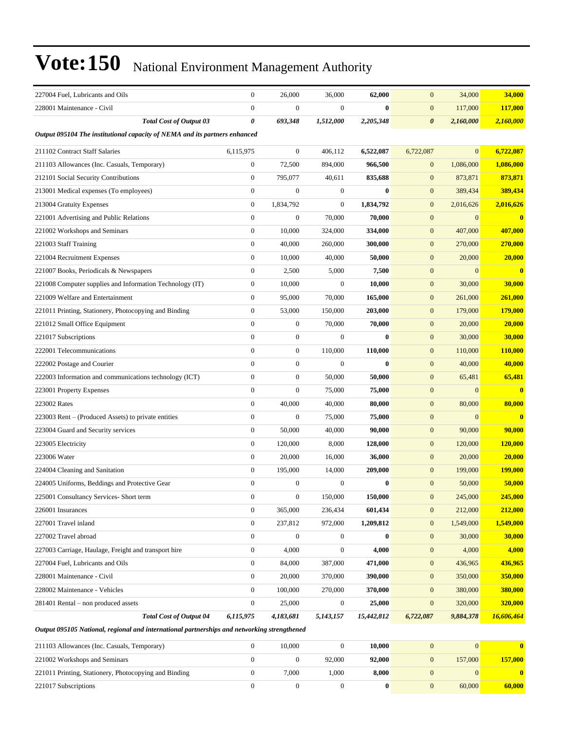| 227004 Fuel, Lubricants and Oils                                           | $\boldsymbol{0}$ | 26,000           | 36,000           | 62,000       | $\boldsymbol{0}$      | 34,000       | 34,000         |
|----------------------------------------------------------------------------|------------------|------------------|------------------|--------------|-----------------------|--------------|----------------|
| 228001 Maintenance - Civil                                                 | $\boldsymbol{0}$ | $\boldsymbol{0}$ | $\boldsymbol{0}$ | $\bf{0}$     | $\boldsymbol{0}$      | 117,000      | 117,000        |
| <b>Total Cost of Output 03</b>                                             | 0                | 693,348          | 1,512,000        | 2,205,348    | $\boldsymbol{\theta}$ | 2,160,000    | 2,160,000      |
| Output 095104 The institutional capacity of NEMA and its partners enhanced |                  |                  |                  |              |                       |              |                |
| 211102 Contract Staff Salaries                                             | 6,115,975        | $\boldsymbol{0}$ | 406,112          | 6,522,087    | 6,722,087             | $\mathbf{0}$ | 6,722,087      |
| 211103 Allowances (Inc. Casuals, Temporary)                                | $\boldsymbol{0}$ | 72,500           | 894,000          | 966,500      | $\boldsymbol{0}$      | 1,086,000    | 1,086,000      |
| 212101 Social Security Contributions                                       | $\boldsymbol{0}$ | 795,077          | 40,611           | 835,688      | $\mathbf{0}$          | 873,871      | 873,871        |
| 213001 Medical expenses (To employees)                                     | $\boldsymbol{0}$ | $\boldsymbol{0}$ | $\boldsymbol{0}$ | $\mathbf{0}$ | $\boldsymbol{0}$      | 389,434      | 389,434        |
| 213004 Gratuity Expenses                                                   | $\boldsymbol{0}$ | 1,834,792        | $\boldsymbol{0}$ | 1,834,792    | $\boldsymbol{0}$      | 2,016,626    | 2,016,626      |
| 221001 Advertising and Public Relations                                    | $\boldsymbol{0}$ | $\boldsymbol{0}$ | 70,000           | 70,000       | $\mathbf{0}$          | $\mathbf{0}$ | $\bf{0}$       |
| 221002 Workshops and Seminars                                              | $\boldsymbol{0}$ | 10,000           | 324,000          | 334,000      | $\boldsymbol{0}$      | 407,000      | 407,000        |
| 221003 Staff Training                                                      | $\overline{0}$   | 40,000           | 260,000          | 300,000      | $\boldsymbol{0}$      | 270,000      | 270,000        |
| 221004 Recruitment Expenses                                                | $\boldsymbol{0}$ | 10,000           | 40,000           | 50,000       | $\boldsymbol{0}$      | 20,000       | 20,000         |
| 221007 Books, Periodicals & Newspapers                                     | $\boldsymbol{0}$ | 2,500            | 5,000            | 7,500        | $\boldsymbol{0}$      | $\mathbf{0}$ | $\mathbf{0}$   |
| 221008 Computer supplies and Information Technology (IT)                   | $\boldsymbol{0}$ | 10,000           | $\boldsymbol{0}$ | 10,000       | $\boldsymbol{0}$      | 30,000       | 30,000         |
| 221009 Welfare and Entertainment                                           | $\boldsymbol{0}$ | 95,000           | 70,000           | 165,000      | $\boldsymbol{0}$      | 261,000      | 261,000        |
| 221011 Printing, Stationery, Photocopying and Binding                      | $\boldsymbol{0}$ | 53,000           | 150,000          | 203,000      | $\boldsymbol{0}$      | 179,000      | <b>179,000</b> |
| 221012 Small Office Equipment                                              | $\boldsymbol{0}$ | $\boldsymbol{0}$ | 70,000           | 70,000       | $\boldsymbol{0}$      | 20,000       | 20,000         |
| 221017 Subscriptions                                                       | $\overline{0}$   | $\boldsymbol{0}$ | $\boldsymbol{0}$ | $\bf{0}$     | $\boldsymbol{0}$      | 30,000       | 30,000         |
| 222001 Telecommunications                                                  | $\boldsymbol{0}$ | $\boldsymbol{0}$ | 110,000          | 110,000      | $\mathbf{0}$          | 110,000      | 110,000        |
| 222002 Postage and Courier                                                 | $\boldsymbol{0}$ | $\boldsymbol{0}$ | $\boldsymbol{0}$ | $\bf{0}$     | $\mathbf{0}$          | 40,000       | 40,000         |
| 222003 Information and communications technology (ICT)                     | $\overline{0}$   | $\boldsymbol{0}$ | 50,000           | 50,000       | $\boldsymbol{0}$      | 65,481       | 65,481         |
| 223001 Property Expenses                                                   | $\mathbf{0}$     | $\boldsymbol{0}$ | 75,000           | 75,000       | $\boldsymbol{0}$      | $\mathbf{0}$ | $\mathbf{0}$   |
| 223002 Rates                                                               | $\overline{0}$   | 40,000           | 40,000           | 80,000       | $\boldsymbol{0}$      | 80,000       | 80,000         |
| 223003 Rent – (Produced Assets) to private entities                        | $\boldsymbol{0}$ | $\boldsymbol{0}$ | 75,000           | 75,000       | $\boldsymbol{0}$      | $\mathbf{0}$ | $\bf{0}$       |
| 223004 Guard and Security services                                         | $\boldsymbol{0}$ | 50,000           | 40,000           | 90,000       | $\boldsymbol{0}$      | 90,000       | 90,000         |
| 223005 Electricity                                                         | $\overline{0}$   | 120,000          | 8,000            | 128,000      | $\mathbf{0}$          | 120,000      | <b>120,000</b> |
| 223006 Water                                                               | $\boldsymbol{0}$ | 20,000           | 16,000           | 36,000       | $\mathbf{0}$          | 20,000       | 20,000         |
| 224004 Cleaning and Sanitation                                             | $\boldsymbol{0}$ | 195,000          | 14,000           | 209,000      | $\boldsymbol{0}$      | 199,000      | <b>199,000</b> |
| 224005 Uniforms, Beddings and Protective Gear                              | $\boldsymbol{0}$ | $\boldsymbol{0}$ | $\boldsymbol{0}$ | $\bf{0}$     | $\mathbf{0}$          | 50,000       | 50,000         |
| 225001 Consultancy Services- Short term                                    | $\mathbf{0}$     | $\boldsymbol{0}$ | 150,000          | 150,000      | $\boldsymbol{0}$      | 245,000      | 245,000        |
| 226001 Insurances                                                          | $\boldsymbol{0}$ | 365,000          | 236,434          | 601,434      | $\boldsymbol{0}$      | 212,000      | 212,000        |
| 227001 Travel inland                                                       | $\boldsymbol{0}$ | 237,812          | 972,000          | 1,209,812    | $\boldsymbol{0}$      | 1,549,000    | 1,549,000      |
| 227002 Travel abroad                                                       | $\boldsymbol{0}$ | $\boldsymbol{0}$ | $\boldsymbol{0}$ | $\bf{0}$     | $\boldsymbol{0}$      | 30,000       | 30,000         |
| 227003 Carriage, Haulage, Freight and transport hire                       | $\boldsymbol{0}$ | 4,000            | $\boldsymbol{0}$ | 4,000        | $\boldsymbol{0}$      | 4,000        | 4,000          |
| 227004 Fuel, Lubricants and Oils                                           | $\boldsymbol{0}$ | 84,000           | 387,000          | 471,000      | $\boldsymbol{0}$      | 436,965      | 436,965        |
| 228001 Maintenance - Civil                                                 | $\boldsymbol{0}$ | 20,000           | 370,000          | 390,000      | $\boldsymbol{0}$      | 350,000      | 350,000        |
| 228002 Maintenance - Vehicles                                              | $\boldsymbol{0}$ | 100,000          | 270,000          | 370,000      | $\boldsymbol{0}$      | 380,000      | 380,000        |
| 281401 Rental – non produced assets                                        | $\boldsymbol{0}$ | 25,000           | $\boldsymbol{0}$ | 25,000       | $\mathbf{0}$          | 320,000      | 320,000        |
| <b>Total Cost of Output 04</b>                                             | 6,115,975        | 4,183,681        | 5,143,157        | 15,442,812   | 6,722,087             | 9,884,378    | 16,606,464     |
|                                                                            |                  |                  |                  |              |                       |              |                |

*Output 095105 National, regional and international partnerships and networking strengthened*

| 211103 Allowances (Inc. Casuals, Temporary)           | 10.000 |        | 10.000 |         |         |
|-------------------------------------------------------|--------|--------|--------|---------|---------|
| 221002 Workshops and Seminars                         |        | 92,000 | 92,000 | 157.000 | 157.000 |
| 221011 Printing, Stationery, Photocopying and Binding | 7.000  | .000   | 8.000  |         |         |
| 221017 Subscriptions                                  |        |        |        | 60,000  | 60,000  |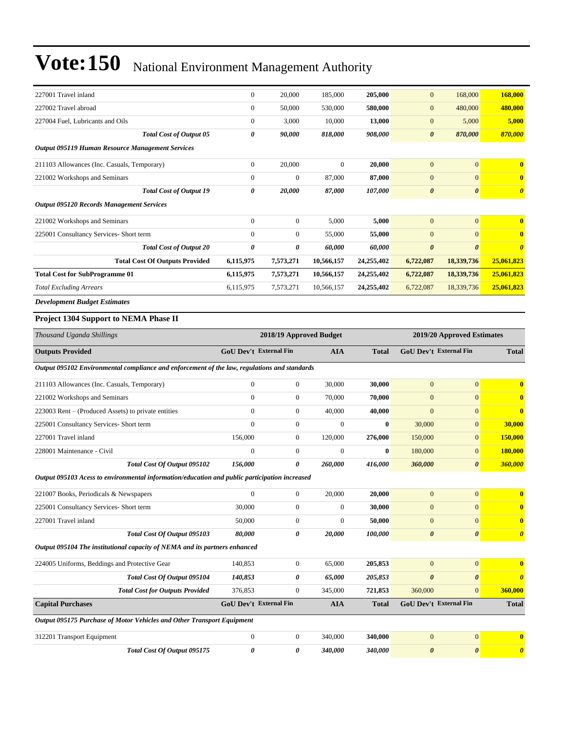| 227001 Travel inland                                    |                                | $\overline{0}$                                        | 20,000         | 185,000    | 205,000    | $\overline{0}$        | 168,000               | 168,000                 |
|---------------------------------------------------------|--------------------------------|-------------------------------------------------------|----------------|------------|------------|-----------------------|-----------------------|-------------------------|
| 227002 Travel abroad                                    |                                | $\overline{0}$                                        | 50,000         | 530,000    | 580,000    | $\mathbf{0}$          | 480,000               | 480,000                 |
| 227004 Fuel, Lubricants and Oils                        |                                | $\overline{0}$                                        | 3,000          | 10,000     | 13,000     | $\mathbf{0}$          | 5,000                 | 5,000                   |
|                                                         | <b>Total Cost of Output 05</b> | 0                                                     | 90,000         | 818,000    | 908,000    | $\boldsymbol{\theta}$ | 870,000               | 870,000                 |
| <b>Output 095119 Human Resource Management Services</b> |                                |                                                       |                |            |            |                       |                       |                         |
| 211103 Allowances (Inc. Casuals, Temporary)             |                                | $\Omega$                                              | 20,000         | $\Omega$   | 20,000     | $\mathbf{0}$          | $\overline{0}$        | $\overline{0}$          |
| 221002 Workshops and Seminars                           |                                | $\Omega$                                              | $\Omega$       | 87,000     | 87,000     | $\mathbf{0}$          | $\overline{0}$        | $\bf{0}$                |
|                                                         | <b>Total Cost of Output 19</b> | 0                                                     | 20,000         | 87,000     | 107,000    | $\boldsymbol{\theta}$ | $\boldsymbol{\theta}$ | $\boldsymbol{\theta}$   |
| <b>Output 095120 Records Management Services</b>        |                                |                                                       |                |            |            |                       |                       |                         |
| 221002 Workshops and Seminars                           |                                | $\overline{0}$                                        | $\overline{0}$ | 5,000      | 5,000      | $\mathbf{0}$          | $\overline{0}$        | $\overline{\mathbf{0}}$ |
| 225001 Consultancy Services- Short term                 |                                | $\overline{0}$                                        | $\mathbf{0}$   | 55,000     | 55,000     | $\overline{0}$        | $\Omega$              | $\bf{0}$                |
|                                                         | <b>Total Cost of Output 20</b> | 0                                                     | 0              | 60,000     | 60,000     | $\boldsymbol{\theta}$ | $\boldsymbol{\theta}$ | $\boldsymbol{\theta}$   |
| <b>Total Cost Of Outputs Provided</b>                   |                                | 6,115,975                                             | 7,573,271      | 10,566,157 | 24,255,402 | 6,722,087             | 18,339,736            | 25,061,823              |
| <b>Total Cost for SubProgramme 01</b>                   |                                | 6,115,975                                             | 7,573,271      | 10,566,157 | 24,255,402 | 6,722,087             | 18,339,736            | 25,061,823              |
| <b>Total Excluding Arrears</b>                          |                                | 6,115,975                                             | 7,573,271      | 10,566,157 | 24,255,402 | 6,722,087             | 18,339,736            | 25,061,823              |
| <b>Development Budget Estimates</b>                     |                                |                                                       |                |            |            |                       |                       |                         |
| Project 1304 Support to NEMA Phase II                   |                                |                                                       |                |            |            |                       |                       |                         |
| Thousand Uganda Shillings                               |                                | 2018/19 Approved Budget<br>2019/20 Approved Estimates |                |            |            |                       |                       |                         |

| <b>Outputs Provided</b>                                                                       | GoU Dev't External Fin        |                  | <b>AIA</b>     | <b>Total</b> | <b>GoU Dev't External Fin</b> |                       | <b>Total</b>            |
|-----------------------------------------------------------------------------------------------|-------------------------------|------------------|----------------|--------------|-------------------------------|-----------------------|-------------------------|
| Output 095102 Environmental compliance and enforcement of the law, regulations and standards  |                               |                  |                |              |                               |                       |                         |
| 211103 Allowances (Inc. Casuals, Temporary)                                                   | $\overline{0}$                | $\overline{0}$   | 30,000         | 30,000       | $\overline{0}$                | $\overline{0}$        | $\overline{\mathbf{0}}$ |
| 221002 Workshops and Seminars                                                                 | $\Omega$                      | $\overline{0}$   | 70,000         | 70,000       | $\overline{0}$                | $\overline{0}$        | $\mathbf{0}$            |
| 223003 Rent – (Produced Assets) to private entities                                           | $\mathbf{0}$                  | $\overline{0}$   | 40,000         | 40,000       | $\overline{0}$                | $\overline{0}$        | $\overline{\mathbf{0}}$ |
| 225001 Consultancy Services- Short term                                                       | $\Omega$                      | $\boldsymbol{0}$ | $\overline{0}$ | $\bf{0}$     | 30,000                        | $\boldsymbol{0}$      | 30,000                  |
| 227001 Travel inland                                                                          | 156,000                       | $\boldsymbol{0}$ | 120,000        | 276,000      | 150,000                       | $\mathbf{0}$          | 150,000                 |
| 228001 Maintenance - Civil                                                                    | $\mathbf{0}$                  | $\boldsymbol{0}$ | $\mathbf{0}$   | $\bf{0}$     | 180,000                       | $\mathbf{0}$          | 180,000                 |
| Total Cost Of Output 095102                                                                   | 156,000                       | 0                | 260,000        | 416,000      | 360,000                       | $\boldsymbol{\theta}$ | 360,000                 |
| Output 095103 Acess to environmental information/education and public participation increased |                               |                  |                |              |                               |                       |                         |
| 221007 Books, Periodicals & Newspapers                                                        | $\mathbf{0}$                  | $\boldsymbol{0}$ | 20,000         | 20,000       | $\overline{0}$                | $\mathbf{0}$          | $\mathbf{0}$            |
| 225001 Consultancy Services- Short term                                                       | 30,000                        | $\overline{0}$   | $\theta$       | 30,000       | $\mathbf{0}$                  | $\overline{0}$        | $\overline{\mathbf{0}}$ |
| 227001 Travel inland                                                                          | 50,000                        | $\boldsymbol{0}$ | $\theta$       | 50,000       | $\overline{0}$                | $\mathbf{0}$          | $\mathbf{0}$            |
| Total Cost Of Output 095103                                                                   | 80,000                        | 0                | 20,000         | 100,000      | $\boldsymbol{\theta}$         | $\boldsymbol{\theta}$ | $\boldsymbol{\theta}$   |
| Output 095104 The institutional capacity of NEMA and its partners enhanced                    |                               |                  |                |              |                               |                       |                         |
| 224005 Uniforms, Beddings and Protective Gear                                                 | 140,853                       | $\boldsymbol{0}$ | 65,000         | 205,853      | $\overline{0}$                | $\overline{0}$        | $\mathbf{0}$            |
| Total Cost Of Output 095104                                                                   | 140,853                       | 0                | 65,000         | 205,853      | $\boldsymbol{\theta}$         | $\boldsymbol{\theta}$ | $\boldsymbol{\theta}$   |
| <b>Total Cost for Outputs Provided</b>                                                        | 376,853                       | $\boldsymbol{0}$ | 345,000        | 721,853      | 360,000                       | $\Omega$              | 360,000                 |
| <b>Capital Purchases</b>                                                                      | <b>GoU Dev't External Fin</b> |                  | <b>AIA</b>     | <b>Total</b> | <b>GoU Dev't External Fin</b> |                       | <b>Total</b>            |
| Output 095175 Purchase of Motor Vehicles and Other Transport Equipment                        |                               |                  |                |              |                               |                       |                         |
| 312201 Transport Equipment                                                                    | $\overline{0}$                | $\overline{0}$   | 340,000        | 340,000      | $\overline{0}$                | $\overline{0}$        | $\mathbf{0}$            |
| Total Cost Of Output 095175                                                                   | 0                             | 0                | 340,000        | 340,000      | $\boldsymbol{\theta}$         | $\boldsymbol{\theta}$ | $\boldsymbol{\theta}$   |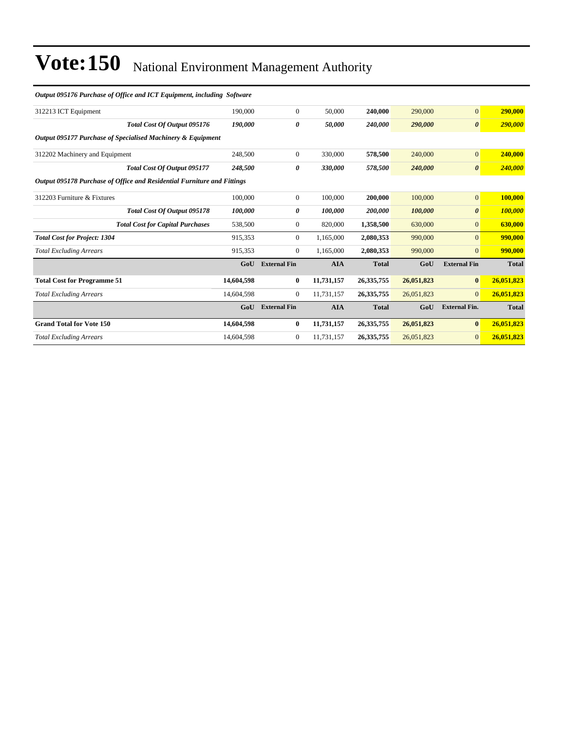| Output 095176 Purchase of Office and ICT Equipment, including Software  |            |                     |            |              |            |                       |              |
|-------------------------------------------------------------------------|------------|---------------------|------------|--------------|------------|-----------------------|--------------|
| 312213 ICT Equipment                                                    | 190,000    | $\mathbf{0}$        | 50,000     | 240,000      | 290,000    | $\overline{0}$        | 290,000      |
| Total Cost Of Output 095176                                             | 190.000    | 0                   | 50.000     | 240,000      | 290,000    | $\boldsymbol{\theta}$ | 290,000      |
| Output 095177 Purchase of Specialised Machinery & Equipment             |            |                     |            |              |            |                       |              |
| 312202 Machinery and Equipment                                          | 248,500    | $\overline{0}$      | 330,000    | 578,500      | 240,000    | $\overline{0}$        | 240,000      |
| Total Cost Of Output 095177                                             | 248,500    | 0                   | 330,000    | 578,500      | 240,000    | $\boldsymbol{\theta}$ | 240,000      |
| Output 095178 Purchase of Office and Residential Furniture and Fittings |            |                     |            |              |            |                       |              |
| 312203 Furniture & Fixtures                                             | 100,000    | $\overline{0}$      | 100,000    | 200,000      | 100,000    | $\overline{0}$        | 100,000      |
| Total Cost Of Output 095178                                             | 100,000    | 0                   | 100,000    | 200,000      | 100,000    | $\boldsymbol{\theta}$ | 100,000      |
| <b>Total Cost for Capital Purchases</b>                                 | 538,500    | 0                   | 820,000    | 1,358,500    | 630,000    | $\overline{0}$        | 630,000      |
| <b>Total Cost for Project: 1304</b>                                     | 915,353    | $\overline{0}$      | 1,165,000  | 2,080,353    | 990,000    | $\Omega$              | 990,000      |
| <b>Total Excluding Arrears</b>                                          | 915,353    | $\mathbf{0}$        | 1,165,000  | 2,080,353    | 990,000    | $\overline{0}$        | 990,000      |
|                                                                         | GoU        | <b>External Fin</b> | <b>AIA</b> | <b>Total</b> | GoU        | <b>External Fin</b>   | <b>Total</b> |
| <b>Total Cost for Programme 51</b>                                      | 14,604,598 | $\bf{0}$            | 11,731,157 | 26, 335, 755 | 26,051,823 | $\bf{0}$              | 26,051,823   |
| <b>Total Excluding Arrears</b>                                          | 14,604,598 | $\mathbf{0}$        | 11,731,157 | 26, 335, 755 | 26,051,823 | $\Omega$              | 26,051,823   |
|                                                                         | GoU        | <b>External Fin</b> | <b>AIA</b> | <b>Total</b> | GoU        | <b>External Fin.</b>  | <b>Total</b> |
| <b>Grand Total for Vote 150</b>                                         | 14,604,598 | $\bf{0}$            | 11,731,157 | 26, 335, 755 | 26,051,823 | $\bf{0}$              | 26,051,823   |
| <b>Total Excluding Arrears</b>                                          | 14,604,598 | $\mathbf{0}$        | 11,731,157 | 26, 335, 755 | 26,051,823 | $\overline{0}$        | 26,051,823   |